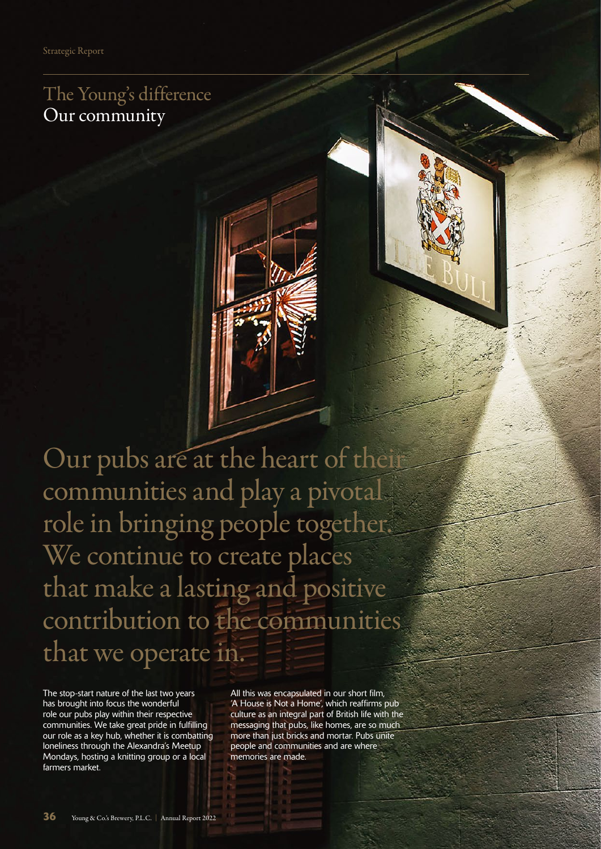The Young's difference Our community

Our pubs are at the heart of their communities and play a pivotal role in bringing people together. We continue to create places that make a lasting and positive contribution to the communities that we operate in.

The stop-start nature of the last two years has brought into focus the wonderful role our pubs play within their respective communities. We take great pride in fulfilling our role as a key hub, whether it is combatting loneliness through the Alexandra's Meetup Mondays, hosting a knitting group or a local farmers market.

All this was encapsulated in our short film, 'A House is Not a Home', which reaffirms pub culture as an integral part of British life with the messaging that pubs, like homes, are so much more than just bricks and mortar. Pubs unite people and communities and are where memories are made.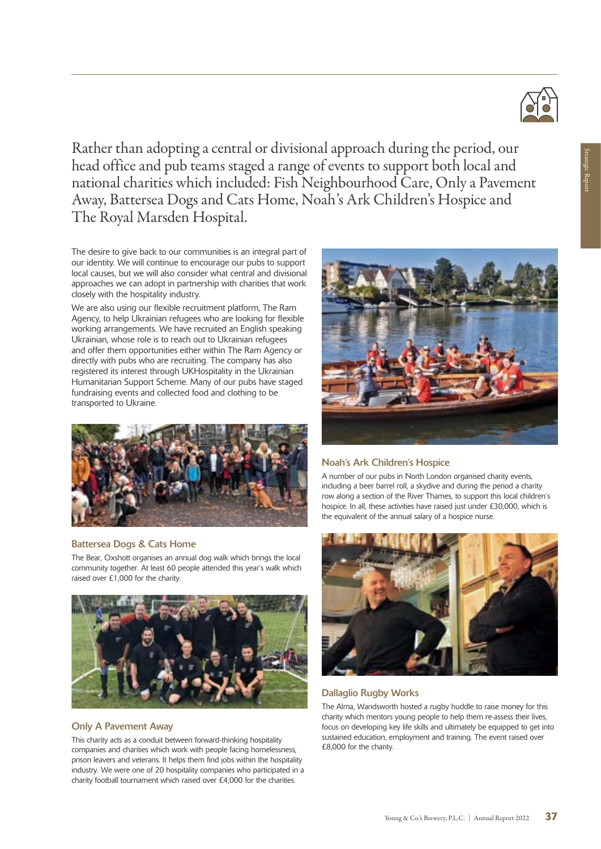Rather than adopting a central or divisional approach during the period, our head office and pub teams staged a range of events to support both local and national charities which included: Fish Neighbourhood Care, Only a Pavement Away, Battersea Dogs and Cats Home, Noah's Ark Children's Hospice and The Royal Marsden Hospital.

The desire to give back to our communities is an integral part of our identity. We will continue to encourage our pubs to support local causes, but we will also consider what central and divisional approaches we can adopt in partnership with charities that work closely with the hospitality industry.

We are also using our flexible recruitment platform, The Ram Agency, to help Ukrainian refugees who are looking for flexible working arrangements. We have recruited an English speaking Ukrainian, whose role is to reach out to Ukrainian refugees and offer them opportunities either within The Ram Agency or directly with pubs who are recruiting. The company has also registered its interest through UKHospitality in the Ukrainian Humanitarian Support Scheme. Many of our pubs have staged fundraising events and collected food and clothing to be transported to Ukraine.



#### Battersea Dogs & Cats Home

The Bear, Oxshott organises an annual dog walk which brings the local community together. At least 60 people attended this year's walk which raised over £1,000 for the charity.



#### Only A Pavement Away

This charity acts as a conduit between forward-thinking hospitality companies and charities which work with people facing homelessness, prison leavers and veterans. It helps them find jobs within the hospitality industry. We were one of 20 hospitality companies who participated in a charity football tournament which raised over £4,000 for the charities.



#### Noah's Ark Children's Hospice

A number of our pubs in North London organised charity events, including a beer barrel roll, a skydive and during the period a charity row along a section of the River Thames, to support this local children's hospice. In all, these activities have raised just under £30,000, which is the equivalent of the annual salary of a hospice nurse.



#### Dallaglio Rugby Works

The Alma, Wandsworth hosted a rugby huddle to raise money for this charity which mentors young people to help them re-assess their lives, focus on developing key life skills and ultimately be equipped to get into sustained education, employment and training. The event raised over £8,000 for the charity.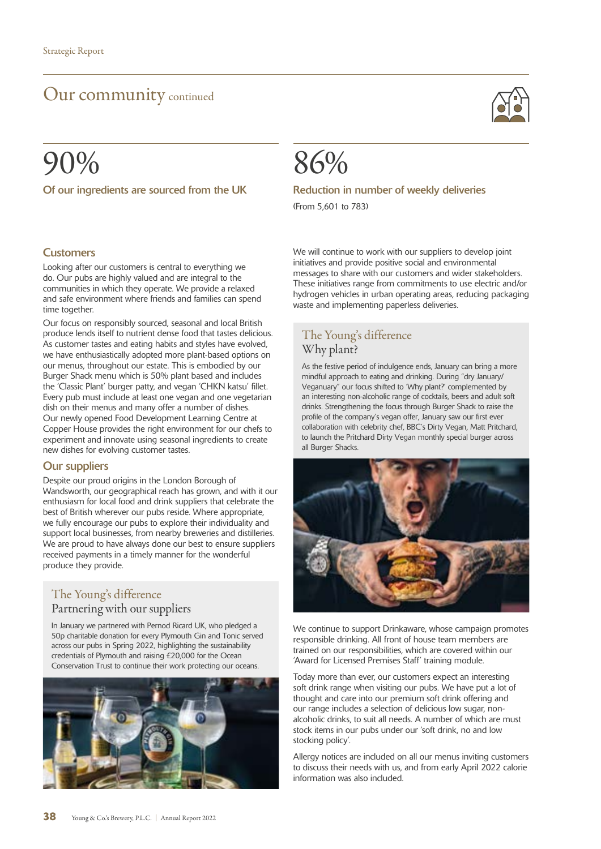## Our community continued

# 90%

Of our ingredients are sourced from the UK



#### Reduction in number of weekly deliveries

(From 5,601 to 783)

#### **Customers**

Looking after our customers is central to everything we do. Our pubs are highly valued and are integral to the communities in which they operate. We provide a relaxed and safe environment where friends and families can spend time together.

Our focus on responsibly sourced, seasonal and local British produce lends itself to nutrient dense food that tastes delicious. As customer tastes and eating habits and styles have evolved, we have enthusiastically adopted more plant-based options on our menus, throughout our estate. This is embodied by our Burger Shack menu which is 50% plant based and includes the 'Classic Plant' burger patty, and vegan 'CHKN katsu' fillet. Every pub must include at least one vegan and one vegetarian dish on their menus and many offer a number of dishes. Our newly opened Food Development Learning Centre at Copper House provides the right environment for our chefs to experiment and innovate using seasonal ingredients to create new dishes for evolving customer tastes.

#### Our suppliers

Despite our proud origins in the London Borough of Wandsworth, our geographical reach has grown, and with it our enthusiasm for local food and drink suppliers that celebrate the best of British wherever our pubs reside. Where appropriate, we fully encourage our pubs to explore their individuality and support local businesses, from nearby breweries and distilleries. We are proud to have always done our best to ensure suppliers received payments in a timely manner for the wonderful produce they provide.

#### The Young's difference Partnering with our suppliers

In January we partnered with Pernod Ricard UK, who pledged a 50p charitable donation for every Plymouth Gin and Tonic served across our pubs in Spring 2022, highlighting the sustainability credentials of Plymouth and raising £20,000 for the Ocean Conservation Trust to continue their work protecting our oceans.



We will continue to work with our suppliers to develop joint initiatives and provide positive social and environmental messages to share with our customers and wider stakeholders. These initiatives range from commitments to use electric and/or hydrogen vehicles in urban operating areas, reducing packaging waste and implementing paperless deliveries.

### The Young's difference Why plant?

As the festive period of indulgence ends, January can bring a more mindful approach to eating and drinking. During "dry January/ Veganuary" our focus shifted to 'Why plant?' complemented by an interesting non-alcoholic range of cocktails, beers and adult soft drinks. Strengthening the focus through Burger Shack to raise the profile of the company's vegan offer, January saw our first ever collaboration with celebrity chef, BBC's Dirty Vegan, Matt Pritchard, to launch the Pritchard Dirty Vegan monthly special burger across all Burger Shacks.



We continue to support Drinkaware, whose campaign promotes responsible drinking. All front of house team members are trained on our responsibilities, which are covered within our 'Award for Licensed Premises Staff' training module.

Today more than ever, our customers expect an interesting soft drink range when visiting our pubs. We have put a lot of thought and care into our premium soft drink offering and our range includes a selection of delicious low sugar, nonalcoholic drinks, to suit all needs. A number of which are must stock items in our pubs under our 'soft drink, no and low stocking policy'.

Allergy notices are included on all our menus inviting customers to discuss their needs with us, and from early April 2022 calorie information was also included.